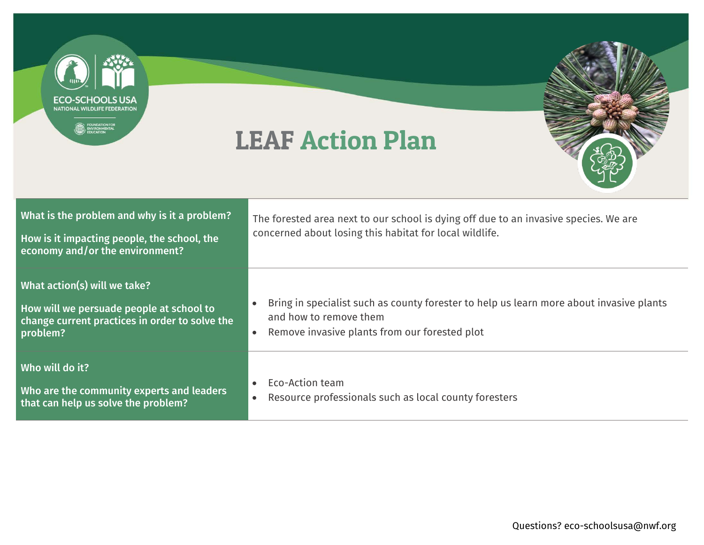